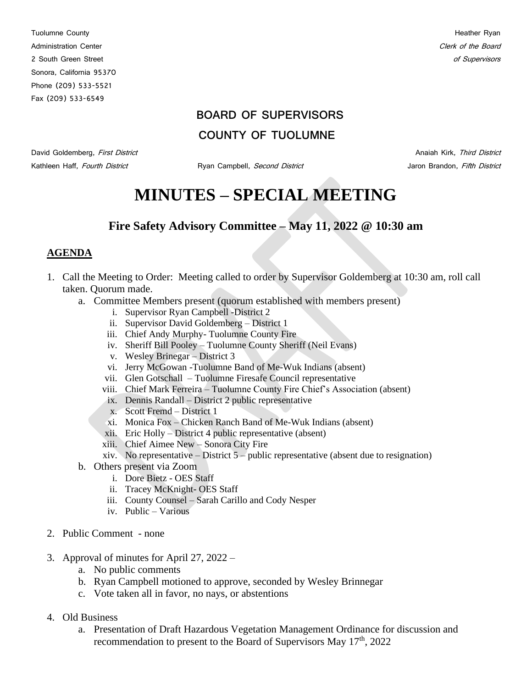Tuolumne County **Heather Ryan** Administration Center Content of the Board Clerk of the Board Clerk of the Board Clerk of the Board Clerk of the Board Clerk of the Board Clerk of the Board Clerk of the Board Clerk of the Board Clerk of the Board Clerk of 2 South Green Street of Supervisors and Supervisors and Supervisors and Supervisors of Supervisors of Supervisors Sonora, California 95370 Phone (209) 533-5521 Fax (209) 533-6549

### **BOARD OF SUPERVISORS**

### **COUNTY OF TUOLUMNE**

David Goldemberg, First District Anaiah Kirk, Third District Anaiah Kirk, Third District Kathleen Haff, Fourth District **Mathleen Haff, Fourth District** Ryan Campbell, Second District **Jaron Brandon**, Fifth District

# **MINUTES – SPECIAL MEETING**

## **Fire Safety Advisory Committee – May 11, 2022 @ 10:30 am**

#### **AGENDA**

- 1. Call the Meeting to Order: Meeting called to order by Supervisor Goldemberg at 10:30 am, roll call taken. Quorum made.
	- a. Committee Members present (quorum established with members present)
		- i. Supervisor Ryan Campbell -District 2
		- ii. Supervisor David Goldemberg District 1
		- iii. Chief Andy Murphy- Tuolumne County Fire
		- iv. Sheriff Bill Pooley Tuolumne County Sheriff (Neil Evans)
		- v. Wesley Brinegar District 3
		- vi. Jerry McGowan -Tuolumne Band of Me-Wuk Indians (absent)
		- vii. Glen Gotschall Tuolumne Firesafe Council representative
		- viii. Chief Mark Ferreira Tuolumne County Fire Chief's Association (absent)
		- ix. Dennis Randall District 2 public representative
		- x. Scott Fremd District 1
		- xi. Monica Fox Chicken Ranch Band of Me-Wuk Indians (absent)
		- xii. Eric Holly District 4 public representative (absent)
		- xiii. Chief Aimee New Sonora City Fire
		- xiv. No representative  $-$  District  $5$  public representative (absent due to resignation)
	- b. Others present via Zoom
		- i. Dore Bietz OES Staff
		- ii. Tracey McKnight- OES Staff
		- iii. County Counsel Sarah Carillo and Cody Nesper
		- iv. Public Various
- 2. Public Comment none
- 3. Approval of minutes for April 27, 2022
	- a. No public comments
	- b. Ryan Campbell motioned to approve, seconded by Wesley Brinnegar
	- c. Vote taken all in favor, no nays, or abstentions
- 4. Old Business
	- a. Presentation of Draft Hazardous Vegetation Management Ordinance for discussion and recommendation to present to the Board of Supervisors May  $17<sup>th</sup>$ , 2022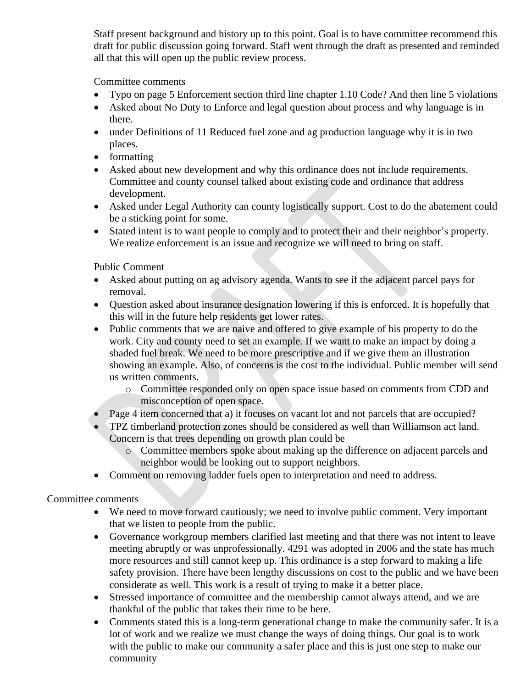Staff present background and history up to this point. Goal is to have committee recommend this draft for public discussion going forward. Staff went through the draft as presented and reminded all that this will open up the public review process.

Committee comments

- Typo on page 5 Enforcement section third line chapter 1.10 Code? And then line 5 violations
- Asked about No Duty to Enforce and legal question about process and why language is in there.
- under Definitions of 11 Reduced fuel zone and ag production language why it is in two places.
- formatting
- Asked about new development and why this ordinance does not include requirements. Committee and county counsel talked about existing code and ordinance that address development.
- Asked under Legal Authority can county logistically support. Cost to do the abatement could be a sticking point for some.
- Stated intent is to want people to comply and to protect their and their neighbor's property. We realize enforcement is an issue and recognize we will need to bring on staff.

Public Comment

- Asked about putting on ag advisory agenda. Wants to see if the adjacent parcel pays for removal.
- Question asked about insurance designation lowering if this is enforced. It is hopefully that this will in the future help residents get lower rates.
- Public comments that we are naive and offered to give example of his property to do the work. City and county need to set an example. If we want to make an impact by doing a shaded fuel break. We need to be more prescriptive and if we give them an illustration showing an example. Also, of concerns is the cost to the individual. Public member will send us written comments.
	- o Committee responded only on open space issue based on comments from CDD and misconception of open space.
- Page 4 item concerned that a) it focuses on vacant lot and not parcels that are occupied?
- TPZ timberland protection zones should be considered as well than Williamson act land. Concern is that trees depending on growth plan could be
	- o Committee members spoke about making up the difference on adjacent parcels and neighbor would be looking out to support neighbors.
- Comment on removing ladder fuels open to interpretation and need to address.

Committee comments

- We need to move forward cautiously; we need to involve public comment. Very important that we listen to people from the public.
- Governance workgroup members clarified last meeting and that there was not intent to leave meeting abruptly or was unprofessionally. 4291 was adopted in 2006 and the state has much more resources and still cannot keep up. This ordinance is a step forward to making a life safety provision. There have been lengthy discussions on cost to the public and we have been considerate as well. This work is a result of trying to make it a better place.
- Stressed importance of committee and the membership cannot always attend, and we are thankful of the public that takes their time to be here.
- Comments stated this is a long-term generational change to make the community safer. It is a lot of work and we realize we must change the ways of doing things. Our goal is to work with the public to make our community a safer place and this is just one step to make our community